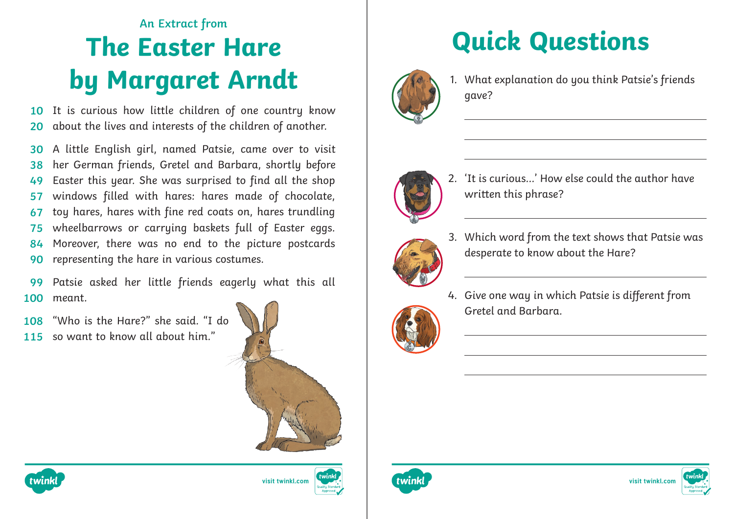## **The Easter Hare by Margaret Arndt An Extract from**

It is curious how little children of one country know about the lives and interests of the children of another. **10 20**

A little English girl, named Patsie, came over to visit her German friends, Gretel and Barbara, shortly before Easter this year. She was surprised to find all the shop windows filled with hares: hares made of chocolate, toy hares, hares with fine red coats on, hares trundling wheelbarrows or carrying baskets full of Easter eggs. Moreover, there was no end to the picture postcards representing the hare in various costumes. **30 38 49 57 67 75 84 90**

Patsie asked her little friends eagerly what this all meant. **99 100**

- "Who is the Hare?" she said. "I do **108**
- 115 so want to know all about him."





# **Quick Questions**



1. What explanation do you think Patsie's friends gave?



2. 'It is curious…' How else could the author have written this phrase?



3. Which word from the text shows that Patsie was desperate to know about the Hare?



4. Give one way in which Patsie is different from Gretel and Barbara.